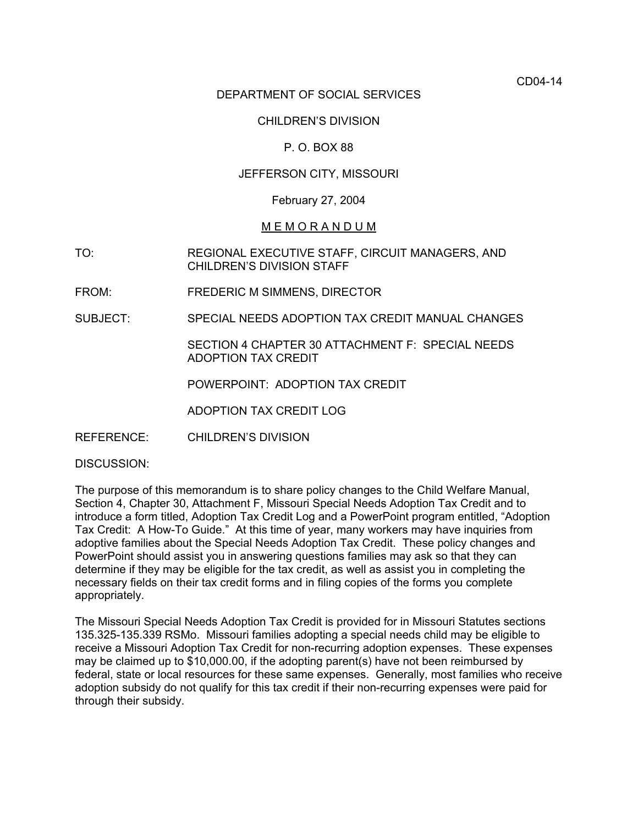CD04-14

### DEPARTMENT OF SOCIAL SERVICES

# CHILDREN'S DIVISION

# P. O. BOX 88

# JEFFERSON CITY, MISSOURI

### February 27, 2004

### M E M O R A N D U M

- TO: REGIONAL EXECUTIVE STAFF, CIRCUIT MANAGERS, AND CHILDREN'S DIVISION STAFF
- FROM: FREDERIC M SIMMENS, DIRECTOR
- SUBJECT: SPECIAL NEEDS ADOPTION TAX CREDIT MANUAL CHANGES

SECTION 4 CHAPTER 30 ATTACHMENT F: SPECIAL NEEDS ADOPTION TAX CREDIT

POWERPOINT: ADOPTION TAX CREDIT

ADOPTION TAX CREDIT LOG

REFERENCE: CHILDREN'S DIVISION

DISCUSSION:

The purpose of this memorandum is to share policy changes to the Child Welfare Manual, Section 4, Chapter 30, Attachment F, Missouri Special Needs Adoption Tax Credit and to introduce a form titled, Adoption Tax Credit Log and a PowerPoint program entitled, "Adoption Tax Credit: A How-To Guide." At this time of year, many workers may have inquiries from adoptive families about the Special Needs Adoption Tax Credit. These policy changes and PowerPoint should assist you in answering questions families may ask so that they can determine if they may be eligible for the tax credit, as well as assist you in completing the necessary fields on their tax credit forms and in filing copies of the forms you complete appropriately.

The Missouri Special Needs Adoption Tax Credit is provided for in Missouri Statutes sections 135.325-135.339 RSMo. Missouri families adopting a special needs child may be eligible to receive a Missouri Adoption Tax Credit for non-recurring adoption expenses. These expenses may be claimed up to \$10,000.00, if the adopting parent(s) have not been reimbursed by federal, state or local resources for these same expenses. Generally, most families who receive adoption subsidy do not qualify for this tax credit if their non-recurring expenses were paid for through their subsidy.